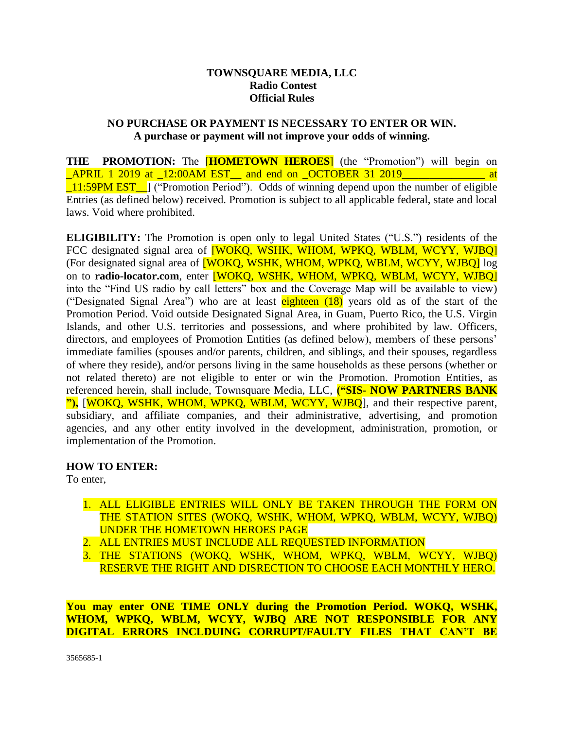## **TOWNSQUARE MEDIA, LLC Radio Contest Official Rules**

# **NO PURCHASE OR PAYMENT IS NECESSARY TO ENTER OR WIN. A purchase or payment will not improve your odds of winning.**

**THE PROMOTION:** The **HOMETOWN HEROES** (the "Promotion") will begin on \_APRIL 1 2019 at \_12:00AM EST\_\_ and end on \_OCTOBER 31 2019\_\_\_\_\_\_\_\_\_\_\_\_\_\_\_ at \_11:59PM EST\_\_] ("Promotion Period"). Odds of winning depend upon the number of eligible Entries (as defined below) received. Promotion is subject to all applicable federal, state and local laws. Void where prohibited.

**ELIGIBILITY:** The Promotion is open only to legal United States ("U.S.") residents of the FCC designated signal area of **[WOKQ, WSHK, WHOM, WPKQ, WBLM, WCYY, WJBQ]** (For designated signal area of [WOKQ, WSHK, WHOM, WPKQ, WBLM, WCYY, WJBQ] log on to **radio-locator.com**, enter [WOKQ, WSHK, WHOM, WPKQ, WBLM, WCYY, WJBQ] into the "Find US radio by call letters" box and the Coverage Map will be available to view) ("Designated Signal Area") who are at least  $e$ ighteen (18) years old as of the start of the Promotion Period. Void outside Designated Signal Area, in Guam, Puerto Rico, the U.S. Virgin Islands, and other U.S. territories and possessions, and where prohibited by law. Officers, directors, and employees of Promotion Entities (as defined below), members of these persons' immediate families (spouses and/or parents, children, and siblings, and their spouses, regardless of where they reside), and/or persons living in the same households as these persons (whether or not related thereto) are not eligible to enter or win the Promotion. Promotion Entities, as referenced herein, shall include, Townsquare Media, LLC, **("SIS- NOW PARTNERS BANK "),** [WOKQ, WSHK, WHOM, WPKQ, WBLM, WCYY, WJBQ], and their respective parent, subsidiary, and affiliate companies, and their administrative, advertising, and promotion agencies, and any other entity involved in the development, administration, promotion, or implementation of the Promotion.

#### **HOW TO ENTER:**

To enter,

- 1. ALL ELIGIBLE ENTRIES WILL ONLY BE TAKEN THROUGH THE FORM ON THE STATION SITES (WOKQ, WSHK, WHOM, WPKQ, WBLM, WCYY, WJBQ) UNDER THE HOMETOWN HEROES PAGE
- 2. ALL ENTRIES MUST INCLUDE ALL REQUESTED INFORMATION
- 3. THE STATIONS (WOKQ, WSHK, WHOM, WPKQ, WBLM, WCYY, WJBQ) RESERVE THE RIGHT AND DISRECTION TO CHOOSE EACH MONTHLY HERO.

**You may enter ONE TIME ONLY during the Promotion Period. WOKQ, WSHK, WHOM, WPKQ, WBLM, WCYY, WJBQ ARE NOT RESPONSIBLE FOR ANY DIGITAL ERRORS INCLDUING CORRUPT/FAULTY FILES THAT CAN'T BE** 

3565685-1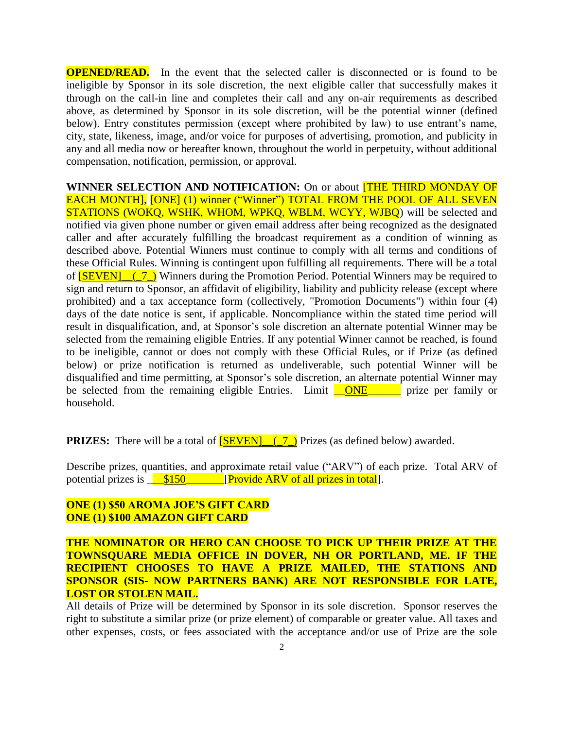**OPENED/READ.** In the event that the selected caller is disconnected or is found to be ineligible by Sponsor in its sole discretion, the next eligible caller that successfully makes it through on the call-in line and completes their call and any on-air requirements as described above, as determined by Sponsor in its sole discretion, will be the potential winner (defined below). Entry constitutes permission (except where prohibited by law) to use entrant's name, city, state, likeness, image, and/or voice for purposes of advertising, promotion, and publicity in any and all media now or hereafter known, throughout the world in perpetuity, without additional compensation, notification, permission, or approval.

**WINNER SELECTION AND NOTIFICATION:** On or about [THE THIRD MONDAY OF EACH MONTH], [ONE] (1) winner ("Winner") TOTAL FROM THE POOL OF ALL SEVEN STATIONS (WOKQ, WSHK, WHOM, WPKQ, WBLM, WCYY, WJBQ) will be selected and notified via given phone number or given email address after being recognized as the designated caller and after accurately fulfilling the broadcast requirement as a condition of winning as described above. Potential Winners must continue to comply with all terms and conditions of these Official Rules. Winning is contingent upon fulfilling all requirements. There will be a total of  $[SEVEN]$   $(7)$  Winners during the Promotion Period. Potential Winners may be required to sign and return to Sponsor, an affidavit of eligibility, liability and publicity release (except where prohibited) and a tax acceptance form (collectively, "Promotion Documents") within four (4) days of the date notice is sent, if applicable. Noncompliance within the stated time period will result in disqualification, and, at Sponsor's sole discretion an alternate potential Winner may be selected from the remaining eligible Entries. If any potential Winner cannot be reached, is found to be ineligible, cannot or does not comply with these Official Rules, or if Prize (as defined below) or prize notification is returned as undeliverable, such potential Winner will be disqualified and time permitting, at Sponsor's sole discretion, an alternate potential Winner may be selected from the remaining eligible Entries. Limit  $\overline{ONE}$  prize per family or household.

**PRIZES:** There will be a total of **[SEVEN]**  $(7)$  Prizes (as defined below) awarded.

Describe prizes, quantities, and approximate retail value ("ARV") of each prize. Total ARV of potential prizes is  $\frac{\$150}{\ \}$  [Provide ARV of all prizes in total].

## **ONE (1) \$50 AROMA JOE'S GIFT CARD ONE (1) \$100 AMAZON GIFT CARD**

# **THE NOMINATOR OR HERO CAN CHOOSE TO PICK UP THEIR PRIZE AT THE TOWNSQUARE MEDIA OFFICE IN DOVER, NH OR PORTLAND, ME. IF THE RECIPIENT CHOOSES TO HAVE A PRIZE MAILED, THE STATIONS AND SPONSOR (SIS- NOW PARTNERS BANK) ARE NOT RESPONSIBLE FOR LATE, LOST OR STOLEN MAIL.**

All details of Prize will be determined by Sponsor in its sole discretion. Sponsor reserves the right to substitute a similar prize (or prize element) of comparable or greater value. All taxes and other expenses, costs, or fees associated with the acceptance and/or use of Prize are the sole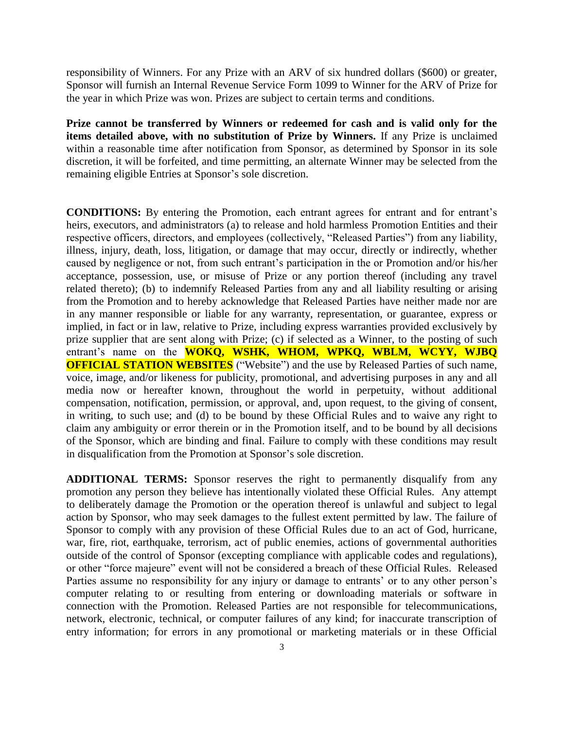responsibility of Winners. For any Prize with an ARV of six hundred dollars (\$600) or greater, Sponsor will furnish an Internal Revenue Service Form 1099 to Winner for the ARV of Prize for the year in which Prize was won. Prizes are subject to certain terms and conditions.

**Prize cannot be transferred by Winners or redeemed for cash and is valid only for the items detailed above, with no substitution of Prize by Winners.** If any Prize is unclaimed within a reasonable time after notification from Sponsor, as determined by Sponsor in its sole discretion, it will be forfeited, and time permitting, an alternate Winner may be selected from the remaining eligible Entries at Sponsor's sole discretion.

**CONDITIONS:** By entering the Promotion, each entrant agrees for entrant and for entrant's heirs, executors, and administrators (a) to release and hold harmless Promotion Entities and their respective officers, directors, and employees (collectively, "Released Parties") from any liability, illness, injury, death, loss, litigation, or damage that may occur, directly or indirectly, whether caused by negligence or not, from such entrant's participation in the or Promotion and/or his/her acceptance, possession, use, or misuse of Prize or any portion thereof (including any travel related thereto); (b) to indemnify Released Parties from any and all liability resulting or arising from the Promotion and to hereby acknowledge that Released Parties have neither made nor are in any manner responsible or liable for any warranty, representation, or guarantee, express or implied, in fact or in law, relative to Prize, including express warranties provided exclusively by prize supplier that are sent along with Prize; (c) if selected as a Winner, to the posting of such entrant's name on the **WOKQ, WSHK, WHOM, WPKQ, WBLM, WCYY, WJBQ OFFICIAL STATION WEBSITES** ("Website") and the use by Released Parties of such name, voice, image, and/or likeness for publicity, promotional, and advertising purposes in any and all media now or hereafter known, throughout the world in perpetuity, without additional compensation, notification, permission, or approval, and, upon request, to the giving of consent, in writing, to such use; and (d) to be bound by these Official Rules and to waive any right to claim any ambiguity or error therein or in the Promotion itself, and to be bound by all decisions of the Sponsor, which are binding and final. Failure to comply with these conditions may result in disqualification from the Promotion at Sponsor's sole discretion.

**ADDITIONAL TERMS:** Sponsor reserves the right to permanently disqualify from any promotion any person they believe has intentionally violated these Official Rules. Any attempt to deliberately damage the Promotion or the operation thereof is unlawful and subject to legal action by Sponsor, who may seek damages to the fullest extent permitted by law. The failure of Sponsor to comply with any provision of these Official Rules due to an act of God, hurricane, war, fire, riot, earthquake, terrorism, act of public enemies, actions of governmental authorities outside of the control of Sponsor (excepting compliance with applicable codes and regulations), or other "force majeure" event will not be considered a breach of these Official Rules. Released Parties assume no responsibility for any injury or damage to entrants' or to any other person's computer relating to or resulting from entering or downloading materials or software in connection with the Promotion. Released Parties are not responsible for telecommunications, network, electronic, technical, or computer failures of any kind; for inaccurate transcription of entry information; for errors in any promotional or marketing materials or in these Official